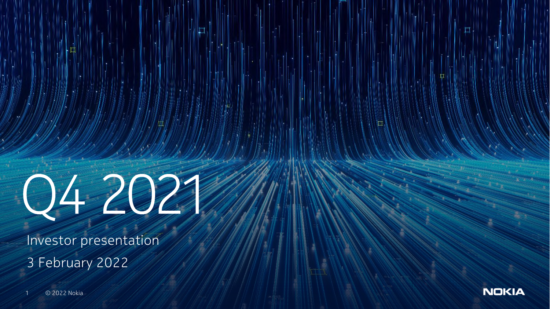

Investor presentation 3 February 2022



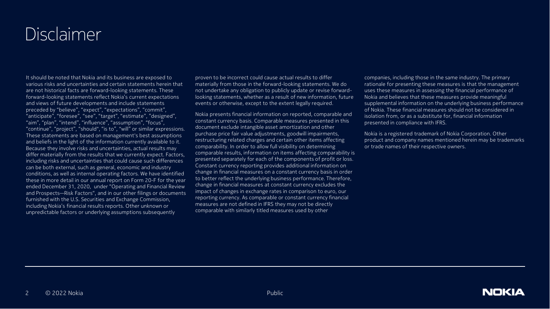#### Disclaimer

It should be noted that Nokia and its business are exposed to various risks and uncertainties and certain statements herein that are not historical facts are forward-looking statements. These forward-looking statements reflect Nokia's current expectations and views of future developments and include statements preceded by "believe", "expect", "expectations", "commit", "anticipate", "foresee", "see", "target", "estimate", "designed", "aim", "plan", "intend", "influence", "assumption", "focus", "continue", "project", "should", "is to", "will" or similar expressions. These statements are based on management's best assumptions and beliefs in the light of the information currently available to it. Because they involve risks and uncertainties, actual results may differ materially from the results that we currently expect. Factors, including risks and uncertainties that could cause such differences can be both external, such as general, economic and industry conditions, as well as internal operating factors. We have identified these in more detail in our annual report on Form 20-F for the year ended December 31, 2020, under "Operating and Financial Review and Prospects—Risk Factors", and in our other filings or documents furnished with the U.S. Securities and Exchange Commission, including Nokia's financial results reports. Other unknown or unpredictable factors or underlying assumptions subsequently

proven to be incorrect could cause actual results to differ materially from those in the forward-looking statements. We do not undertake any obligation to publicly update or revise forwardlooking statements, whether as a result of new information, future events or otherwise, except to the extent legally required.

Nokia presents financial information on reported, comparable and constant currency basis. Comparable measures presented in this document exclude intangible asset amortization and other purchase price fair value adjustments, goodwill impairments, restructuring related charges and certain other items affecting comparability. In order to allow full visibility on determining comparable results, information on items affecting comparability is presented separately for each of the components of profit or loss. Constant currency reporting provides additional information on change in financial measures on a constant currency basis in order to better reflect the underlying business performance. Therefore, change in financial measures at constant currency excludes the impact of changes in exchange rates in comparison to euro, our reporting currency. As comparable or constant currency financial measures are not defined in IFRS they may not be directly comparable with similarly titled measures used by other

companies, including those in the same industry. The primary rationale for presenting these measures is that the management uses these measures in assessing the financial performance of Nokia and believes that these measures provide meaningful supplemental information on the underlying business performance of Nokia. These financial measures should not be considered in isolation from, or as a substitute for, financial information presented in compliance with IFRS.

Nokia is a registered trademark of Nokia Corporation. Other product and company names mentioned herein may be trademarks or trade names of their respective owners.

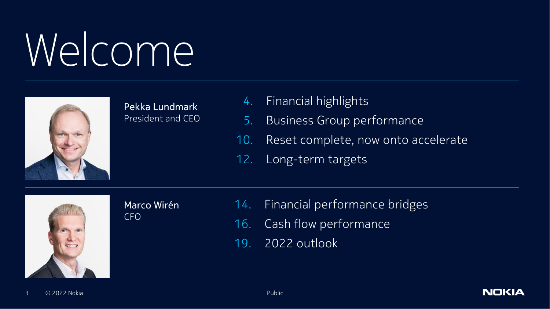# Welcome



Pekka Lundmark President and CEO

- 4. Financial highlights
- 5. Business Group performance
- 10. Reset complete, now onto accelerate
- 12. Long-term targets



Marco Wirén CFO

- 14. Financial performance bridges
- 16. Cash flow performance
- 19. 2022 outlook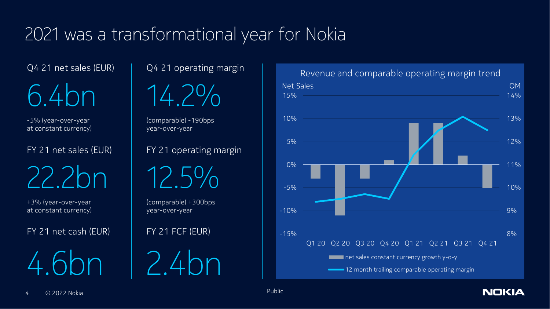#### 2021 was a transformational year for Nokia

Q4 21 net sales (EUR)

6.4bn

-5% (year-over-year at constant currency)

FY 21 net sales (EUR)

22.2bn

+3% (year-over-year at constant currency)

FY 21 net cash (EUR)

4.6bn

Q4 21 operating margin



(comparable) -190bps year-over-year

FY 21 operating margin

12.5%

(comparable) +300bps year-over-year

FY 21 FCF (EUR)

2.4bn



**NOKIA**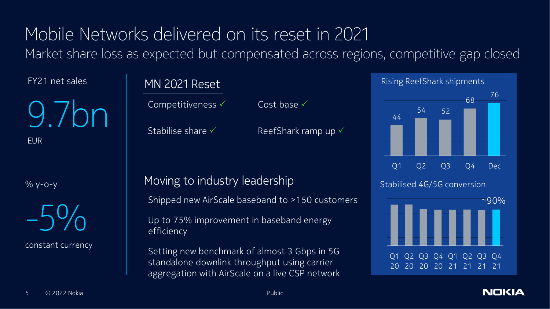#### Mobile Networks delivered on its reset in 2021 Market share loss as expected but compensated across regions, competitive gap closed

FY21 net sales

9.7bn EUR

% y-o-y



constant currency

#### MN 2021 Reset

Competitiveness <del>V</del> Cost base V

Stabilise share  $\checkmark$  ReefShark ramp up  $\checkmark$ 

#### Moving to industry leadership

Shipped new AirScale baseband to >150 customers

Up to 75% improvement in baseband energy efficiency

Setting new benchmark of almost 3 Gbps in 5G standalone downlink throughput using carrier aggregation with AirScale on a live CSP network



**NOKIA**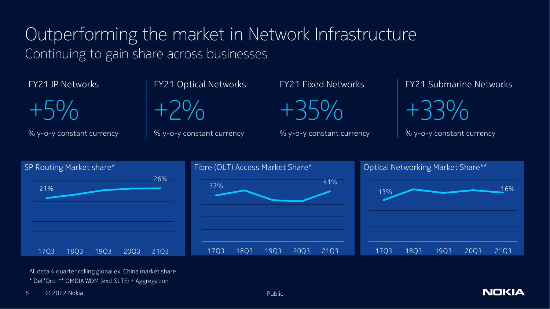#### Outperforming the market in Network Infrastructure Continuing to gain share across businesses

FY21 IP Networks

 $+5\%$ 

% y-o-y constant currency

FY21 Optical Networks



% y-o-y constant currency

FY21 Fixed Networks  $+35\%$ 

% y-o-y constant currency

FY21 Submarine Networks

+33%

% y-o-y constant currency



All data 4 quarter rolling global ex. China market share \* Dell'Oro \*\* OMDIA WDM (excl SLTE) + Aggregation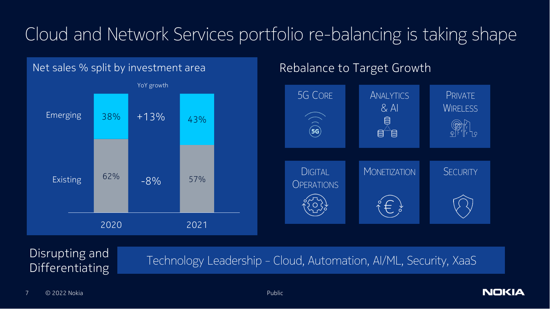## Cloud and Network Services portfolio re-balancing is taking shape

#### Net sales % split by investment area



#### Rebalance to Target Growth



# Differentiating

Disrupting and<br>
Technology Leadership - Cloud, Automation, AI/ML, Security, XaaS

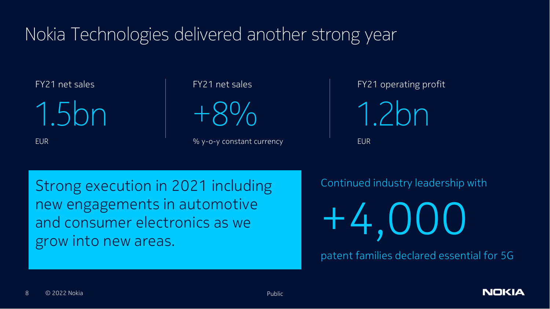#### Nokia Technologies delivered another strong year

FY21 net sales

1.5bn

EUR

FY21 net sales

+8%

% y-o-y constant currency

FY21 operating profit

1.2bn

EUR

Strong execution in 2021 including new engagements in automotive and consumer electronics as we grow into new areas.

Continued industry leadership with

+4,000

patent families declared essential for 5G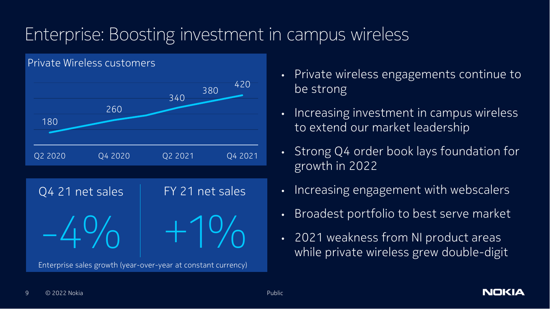### Enterprise: Boosting investment in campus wireless





- Private wireless engagements continue to be strong
- Increasing investment in campus wireless to extend our market leadership
- Strong Q4 order book lays foundation for growth in 2022
- Increasing engagement with webscalers
- Broadest portfolio to best serve market
- 2021 weakness from NI product areas while private wireless grew double-digit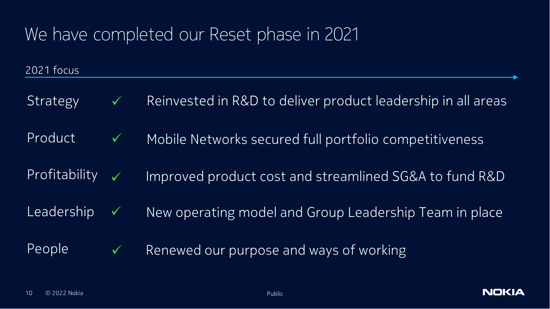#### We have completed our Reset phase in 2021

2021 focus

Strategy  $\checkmark$  Reinvested in R&D to deliver product leadership in all areas Leadership  $\checkmark$  New operating model and Group Leadership Team in place  $Product \sim$  Mobile Networks secured full portfolio competitiveness Profitability  $\sqrt{ }$  Improved product cost and streamlined SG&A to fund R&D People  $\checkmark$  Renewed our purpose and ways of working

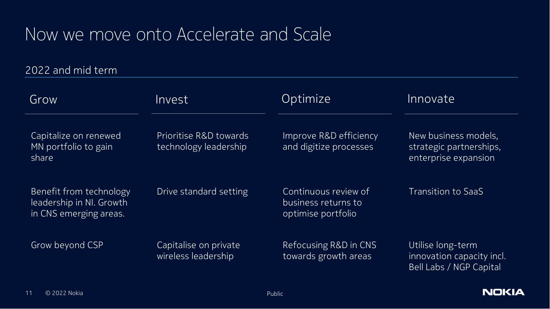#### Now we move onto Accelerate and Scale

2022 and mid term

| Grow                                                                          | <i>Invest</i>                                   | Optimize                                                          | Innovate                                                                  |
|-------------------------------------------------------------------------------|-------------------------------------------------|-------------------------------------------------------------------|---------------------------------------------------------------------------|
| Capitalize on renewed<br>MN portfolio to gain<br>share                        | Prioritise R&D towards<br>technology leadership | Improve R&D efficiency<br>and digitize processes                  | New business models,<br>strategic partnerships,<br>enterprise expansion   |
| Benefit from technology<br>leadership in NI. Growth<br>in CNS emerging areas. | Drive standard setting                          | Continuous review of<br>business returns to<br>optimise portfolio | <b>Transition to SaaS</b>                                                 |
| Grow beyond CSP                                                               | Capitalise on private<br>wireless leadership    | Refocusing R&D in CNS<br>towards growth areas                     | Utilise long-term<br>innovation capacity incl.<br>Bell Labs / NGP Capital |

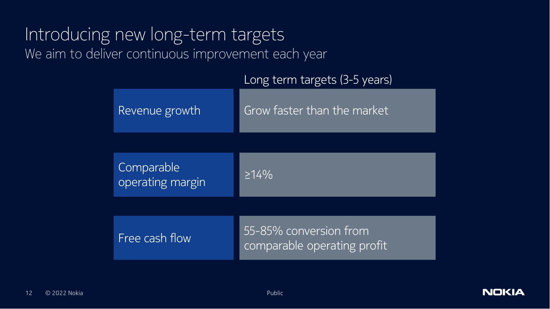#### Introducing new long-term targets We aim to deliver continuous improvement each year

| Long term targets (3-5 years) |  |
|-------------------------------|--|
|                               |  |

| Revenue growth                 | Grow faster than the market                           |
|--------------------------------|-------------------------------------------------------|
|                                |                                                       |
| Comparable<br>operating margin | $\geq 14\%$                                           |
|                                |                                                       |
| Free cash flow                 | 55-85% conversion from<br>comparable operating profit |

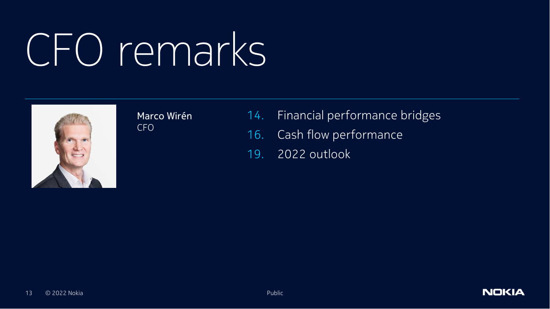# CFO remarks



Marco Wirén CFO

- 14. Financial performance bridges
- 16. Cash flow performance
- 19. 2022 outlook

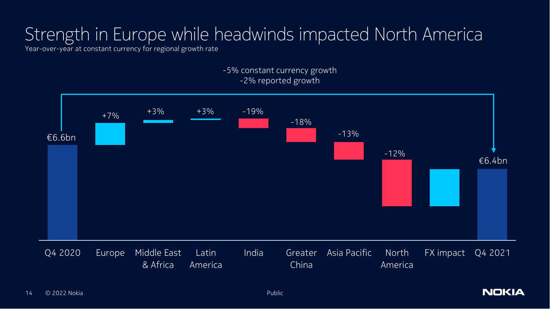### Strength in Europe while headwinds impacted North America

Year-over-year at constant currency for regional growth rate



-5% constant currency growth -2% reported growth

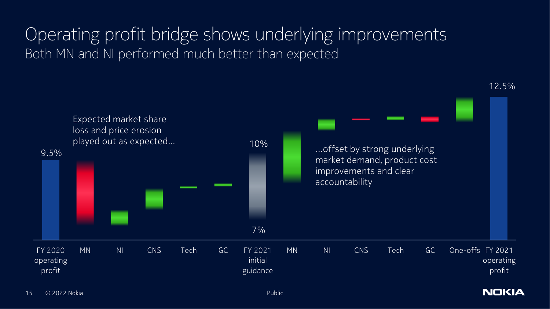#### Operating profit bridge shows underlying improvements Both MN and NI performed much better than expected



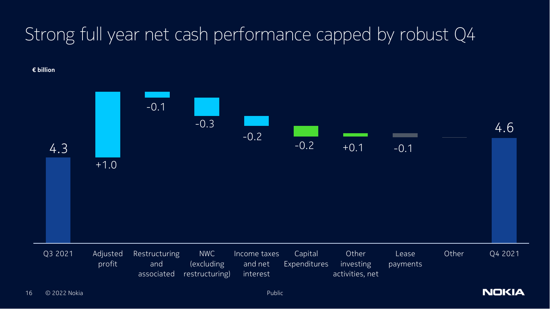### Strong full year net cash performance capped by robust Q4

**€ billion**



**NOKIA**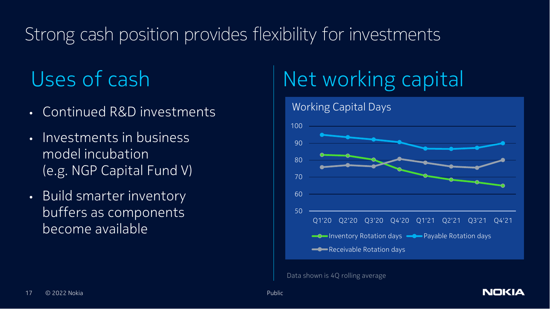### Strong cash position provides flexibility for investments

- Continued R&D investments
- Investments in business model incubation (e.g. NGP Capital Fund V)
- Build smarter inventory buffers as components become available

## Uses of cash Net working capital



**NOKIA** 

Data shown is 4Q rolling average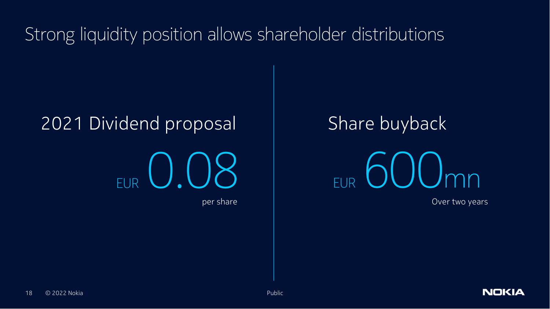Strong liquidity position allows shareholder distributions

#### 2021 Dividend proposal



Share buyback

 $EUR$   $O$   $O($  ) mn

Over two years

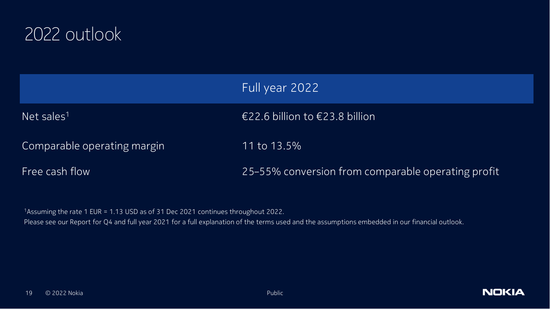

|                             | Full year 2022                                     |
|-----------------------------|----------------------------------------------------|
| Net sales <sup>1</sup>      | €22.6 billion to €23.8 billion                     |
| Comparable operating margin | 11 to 13.5%                                        |
| Free cash flow              | 25-55% conversion from comparable operating profit |

<sup>1</sup>Assuming the rate 1 EUR = 1.13 USD as of 31 Dec 2021 continues throughout 2022.

Please see our Report for Q4 and full year 2021 for a full explanation of the terms used and the assumptions embedded in our financial outlook.

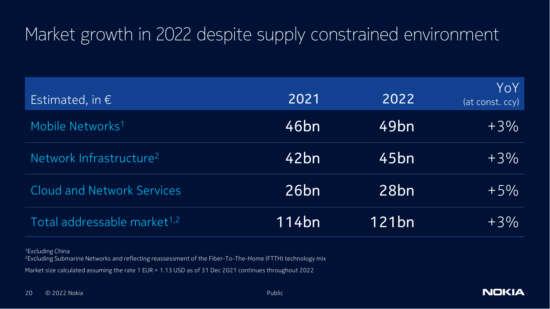#### Market growth in 2022 despite supply constrained environment

| Estimated, in $\epsilon$                | 2021  | 2022              | YoY<br>(at const. ccy) |
|-----------------------------------------|-------|-------------------|------------------------|
| Mobile Networks <sup>1</sup>            | 46bn  | 49 <sub>bn</sub>  | $+3\%$                 |
| Network Infrastructure <sup>2</sup>     | 42bn  | 45bn              | $+3\%$                 |
| <b>Cloud and Network Services</b>       | 26bn  | 28 <sub>bn</sub>  | $+5%$                  |
| Total addressable market <sup>1,2</sup> | 114bn | 121 <sub>bn</sub> | $+3\%$                 |

<sup>1</sup>Excluding China

<sup>2</sup>Excluding Submarine Networks and reflecting reassessment of the Fiber-To-The-Home (FTTH) technology mix

Market size calculated assuming the rate 1 EUR = 1.13 USD as of 31 Dec 2021 continues throughout 2022

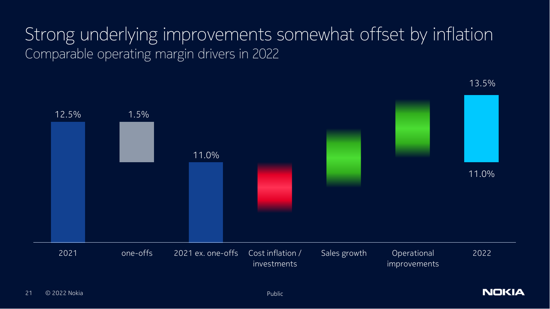#### Strong underlying improvements somewhat offset by inflation Comparable operating margin drivers in 2022



13.5%

**NOKIA**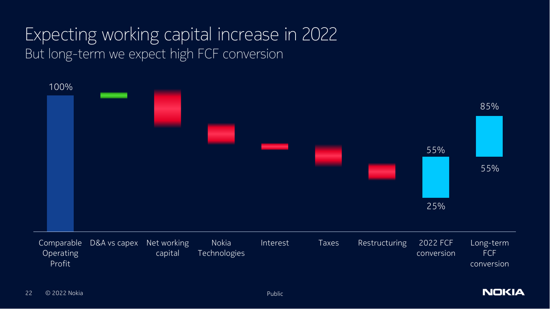#### Expecting working capital increase in 2022 But long-term we expect high FCF conversion



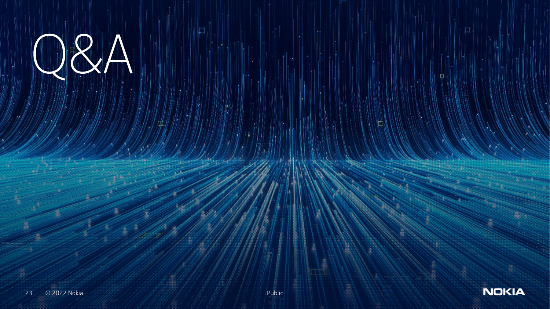$AR(A)$ 



 $\Box$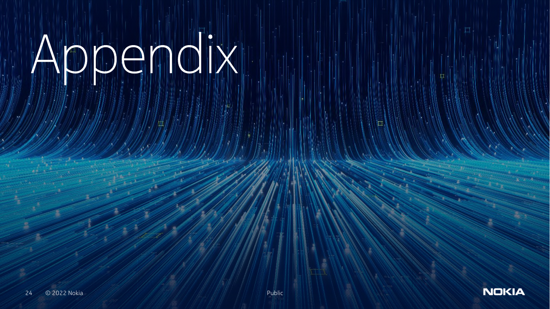# Appendix



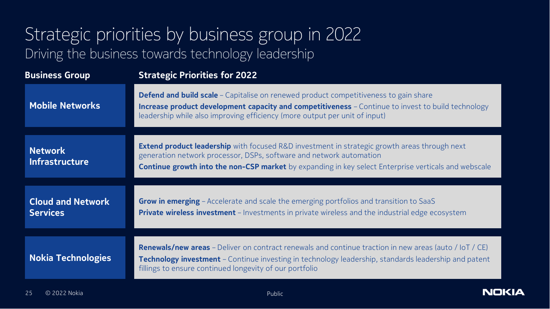#### Strategic priorities by business group in 2022 Driving the business towards technology leadership

| <b>Business Group</b>                       | <b>Strategic Priorities for 2022</b>                                                                                                                                                                                                                                                      |  |
|---------------------------------------------|-------------------------------------------------------------------------------------------------------------------------------------------------------------------------------------------------------------------------------------------------------------------------------------------|--|
| <b>Mobile Networks</b>                      | <b>Defend and build scale</b> - Capitalise on renewed product competitiveness to gain share<br><b>Increase product development capacity and competitiveness</b> - Continue to invest to build technology<br>leadership while also improving efficiency (more output per unit of input)    |  |
| <b>Network</b><br><b>Infrastructure</b>     | <b>Extend product leadership</b> with focused R&D investment in strategic growth areas through next<br>generation network processor, DSPs, software and network automation<br><b>Continue growth into the non-CSP market</b> by expanding in key select Enterprise verticals and webscale |  |
| <b>Cloud and Network</b><br><b>Services</b> | <b>Grow in emerging</b> - Accelerate and scale the emerging portfolios and transition to SaaS<br><b>Private wireless investment</b> - Investments in private wireless and the industrial edge ecosystem                                                                                   |  |
| <b>Nokia Technologies</b>                   | <b>Renewals/new areas</b> - Deliver on contract renewals and continue traction in new areas (auto / IoT / CE)<br><b>Technology investment</b> - Continue investing in technology leadership, standards leadership and patent<br>fillings to ensure continued longevity of our portfolio   |  |

**NOKIA**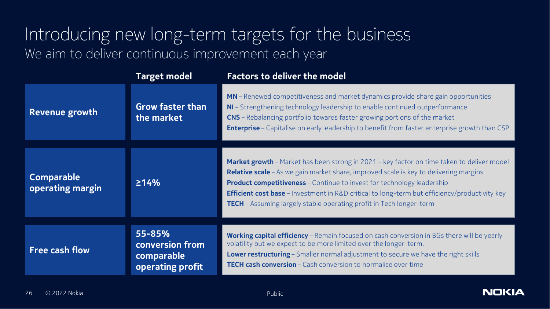#### Introducing new long-term targets for the business We aim to deliver continuous improvement each year

|                                       | <b>Target model</b>                                         | <b>Factors to deliver the model</b>                                                                                                                                                                                                                                                                                                                                                                                                                        |
|---------------------------------------|-------------------------------------------------------------|------------------------------------------------------------------------------------------------------------------------------------------------------------------------------------------------------------------------------------------------------------------------------------------------------------------------------------------------------------------------------------------------------------------------------------------------------------|
| Revenue growth                        | <b>Grow faster than</b><br>the market                       | MN - Renewed competitiveness and market dynamics provide share gain opportunities<br>NI - Strengthening technology leadership to enable continued outperformance<br><b>CNS</b> - Rebalancing portfolio towards faster growing portions of the market<br><b>Enterprise</b> - Capitalise on early leadership to benefit from faster enterprise growth than CSP                                                                                               |
| <b>Comparable</b><br>operating margin | 214%                                                        | Market growth - Market has been strong in 2021 - key factor on time taken to deliver model<br>Relative scale - As we gain market share, improved scale is key to delivering margins<br><b>Product competitiveness</b> - Continue to invest for technology leadership<br><b>Efficient cost base</b> - Investment in R&D critical to long-term but efficiency/productivity key<br><b>TECH</b> - Assuming largely stable operating profit in Tech longer-term |
| <b>Free cash flow</b>                 | 55-85%<br>conversion from<br>comparable<br>operating profit | Working capital efficiency - Remain focused on cash conversion in BGs there will be yearly<br>volatility but we expect to be more limited over the longer-term.<br>Lower restructuring - Smaller normal adjustment to secure we have the right skills<br><b>TECH cash conversion</b> – Cash conversion to normalise over time                                                                                                                              |